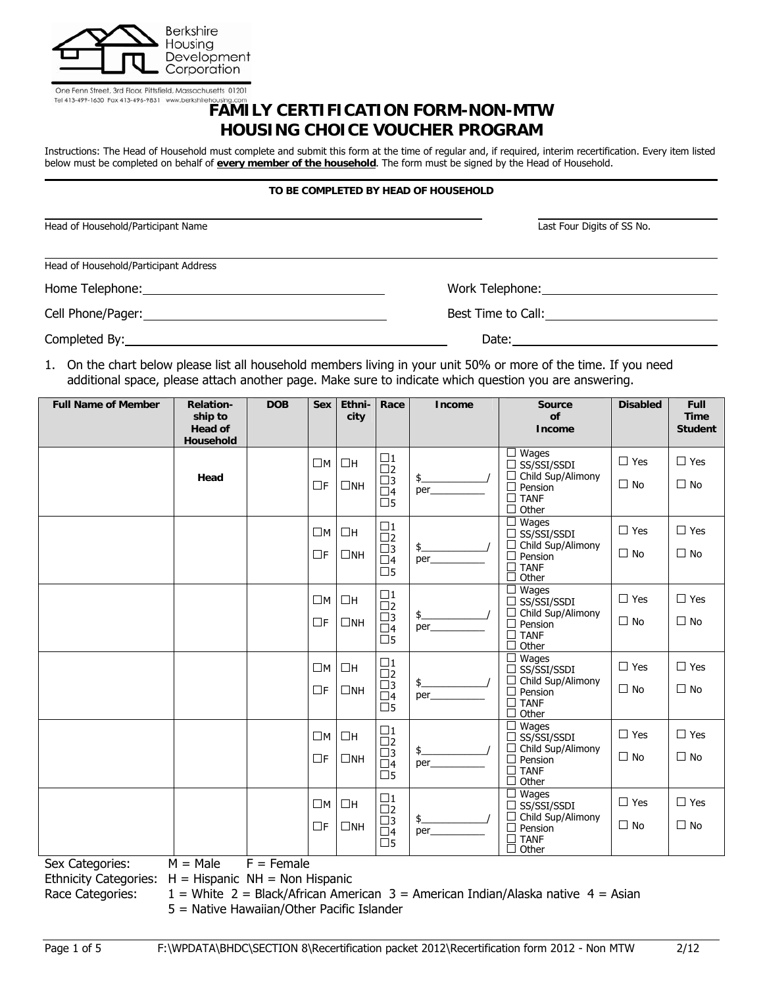

| One Fenn Street, 3rd Floor, Pittsfield, Massachusetts 01201 |                          |
|-------------------------------------------------------------|--------------------------|
| Tel 413-499-1630 Fax 413-496-9831                           | www.berkshirehousing.com |

# **FAMILY CERTIFICATION FORM-NON-MTW HOUSING CHOICE VOUCHER PROGRAM**

Instructions: The Head of Household must complete and submit this form at the time of regular and, if required, interim recertification. Every item listed below must be completed on behalf of **every member of the household**. The form must be signed by the Head of Household.

#### **TO BE COMPLETED BY HEAD OF HOUSEHOLD**

| Head of Household/Participant Name                                                                                                                                                                                             | Last Four Digits of SS No.   |
|--------------------------------------------------------------------------------------------------------------------------------------------------------------------------------------------------------------------------------|------------------------------|
| Head of Household/Participant Address                                                                                                                                                                                          |                              |
|                                                                                                                                                                                                                                | Work Telephone: ____________ |
|                                                                                                                                                                                                                                | Best Time to Call:           |
| Completed By: Note and Separate and Separate and Separate and Separate and Separate and Separate and Separate and Separate and Separate and Separate and Separate and Separate and Separate and Separate and Separate and Sepa | Date:                        |

1. On the chart below please list all household members living in your unit 50% or more of the time. If you need additional space, please attach another page. Make sure to indicate which question you are answering.

| <b>Full Name of Member</b>                    | <b>Relation-</b><br>ship to | <b>DOB</b>                     | <b>Sex</b>  | Ethni-<br>city | Race                                             | <b>Income</b>            | Source<br>of                                                                  | <b>Disabled</b> | <b>Full</b><br><b>Time</b> |
|-----------------------------------------------|-----------------------------|--------------------------------|-------------|----------------|--------------------------------------------------|--------------------------|-------------------------------------------------------------------------------|-----------------|----------------------------|
|                                               | <b>Head of</b><br>Household |                                |             |                |                                                  |                          | <b>Income</b>                                                                 |                 | <b>Student</b>             |
|                                               |                             |                                | $\square$ M | $\Box H$       | $\Box$ 1<br>$\square$                            |                          | Wages<br>ப<br>$\Box$ SS/SSI/SSDI                                              | $\Box$ Yes      | $\Box$ Yes                 |
|                                               | Head                        |                                | $\Box$ F    | $\Box$ NH      | $\square$ 3<br>$\Box$ 4<br>$\square$ 5           | $\frac{1}{2}$<br>per____ | Child Sup/Alimony<br>П<br>П<br>Pension<br>$\square$ TANF<br>Other<br>□        | $\Box$ No       | $\Box$ No                  |
|                                               |                             |                                | $\square$ M | Πн             | $\square$ 1<br>$\square$                         |                          | Wages<br>$\Box$ SS/SSI/SSDI                                                   | $\Box$ Yes      | $\Box$ Yes                 |
|                                               |                             |                                | $\Box$ F    | $\square$ NH   | $\square$ 3<br>$\Box$ 4<br>$\square$ 5           | $\frac{1}{2}$<br>per     | □<br>Child Sup/Alimony<br>П<br>Pension<br><b>TANF</b><br>П<br>П<br>Other      | $\Box$ No       | $\Box$ No                  |
|                                               |                             |                                | $\square$ M | $\Box H$       | $\square$ 1<br>$\square$                         |                          | Wages<br>ப<br>$\Box$ SS/SSI/SSDI                                              | $\Box$ Yes      | $\Box$ Yes                 |
|                                               |                             |                                | $\Box$ F    | $\Box$ NH      | $\square$ 3<br>$\overline{\Box}4$<br>$\square$ 5 | $\frac{1}{2}$<br>per     | □<br>Child Sup/Alimony<br>П<br>Pension<br><b>TANF</b><br>П<br>Other           | $\Box$ No       | $\Box$ No                  |
|                                               |                             |                                | $\square$ M | $\Box H$       | $\square$ 1<br>$\square$                         |                          | Wages<br>$\Box$ SS/SSI/SSDI                                                   | $\Box$ Yes      | $\Box$ Yes                 |
|                                               |                             |                                | $\Box$ F    | $\square$ NH   | $\square$ 3<br>$\Box$ 4<br>$\square$ 5           | $\frac{1}{2}$<br>per     | Child Sup/Alimony<br>□<br>Pension<br>□<br><b>TANF</b><br>$\Box$<br>□<br>Other | $\Box$ No       | $\Box$ No                  |
|                                               |                             |                                | $\square$ M | $\Box H$       | $\square$ 1<br>$\square$                         |                          | Wages<br>⊔<br>$\Box$ SS/SSI/SSDI                                              | $\Box$ Yes      | $\Box$ Yes                 |
|                                               |                             |                                | ΠF          | $\square$ NH   | $\square$ 3<br>$\overline{\Box}4$<br>$\square$ 5 | $\frac{1}{2}$<br>per_    | $\Box$<br>Child Sup/Alimony<br>Pension<br>□<br><b>TANF</b><br>□<br>Other      | $\Box$ No       | $\Box$ No                  |
|                                               |                             |                                | $\square$ M | $\Box H$       | $\square$ 1<br>$\square$                         |                          | Wages<br>ப<br>$\Box$ SS/SSI/SSDI                                              | $\Box$ Yes      | $\Box$ Yes                 |
|                                               |                             |                                | $\Box$ F    | $\square$ NH   | $\square$ 3<br>$\Box$ 4<br>$\square$ 5           | $\frac{1}{2}$<br>per     | $\Box$<br>Child Sup/Alimony<br>Pension<br>□<br><b>TANF</b><br>□               | $\Box$ No       | $\Box$ No                  |
| $C_{\text{max}}$ $C_{\text{max}}$<br><b>M</b> | $M - L$                     | $\Gamma$ $\Gamma$ and $\Gamma$ |             |                |                                                  |                          | П<br>Other                                                                    |                 |                            |

Sex Categories:  $M = Male$   $F = Female$ 

Ethnicity Categories:  $H = H$ ispanic NH = Non Hispanic

Race Categories:  $1 =$  White 2 = Black/African American 3 = American Indian/Alaska native 4 = Asian

5 = Native Hawaiian/Other Pacific Islander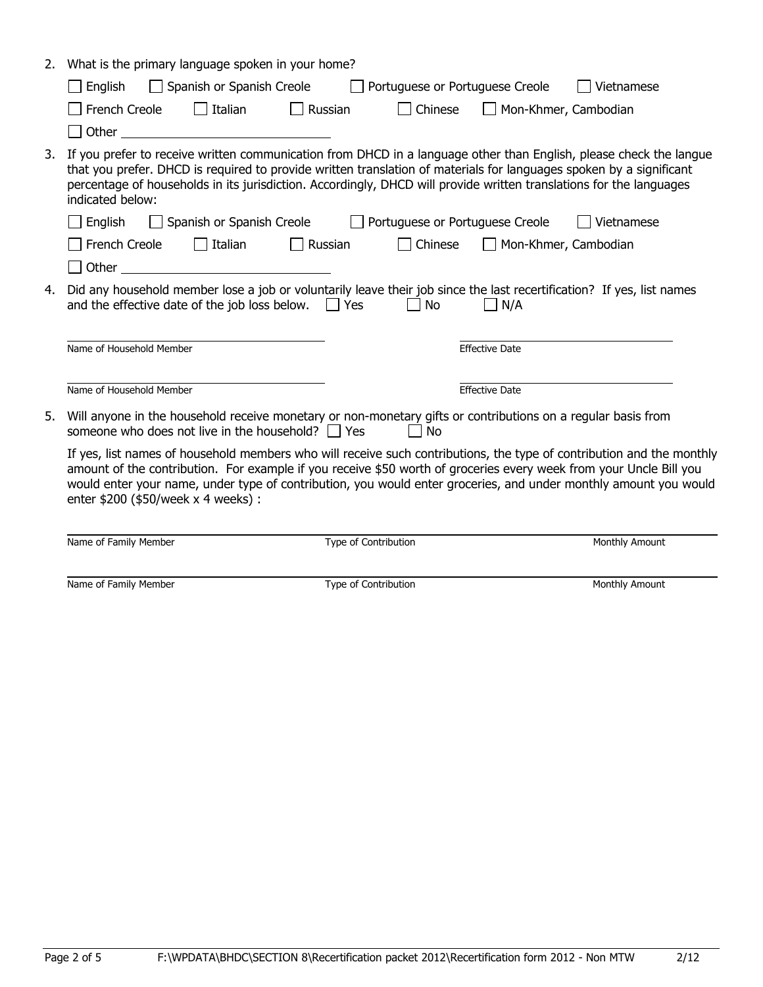| 2. | What is the primary language spoken in your home?                                                                                                                                                                                                                                                                                                                                                      |
|----|--------------------------------------------------------------------------------------------------------------------------------------------------------------------------------------------------------------------------------------------------------------------------------------------------------------------------------------------------------------------------------------------------------|
|    | Spanish or Spanish Creole<br>Portuguese or Portuguese Creole<br>Vietnamese<br>English                                                                                                                                                                                                                                                                                                                  |
|    | $\Box$ Italian<br>French Creole<br>Russian<br>Chinese<br>Mon-Khmer, Cambodian                                                                                                                                                                                                                                                                                                                          |
|    | Other                                                                                                                                                                                                                                                                                                                                                                                                  |
| 3. | If you prefer to receive written communication from DHCD in a language other than English, please check the langue<br>that you prefer. DHCD is required to provide written translation of materials for languages spoken by a significant<br>percentage of households in its jurisdiction. Accordingly, DHCD will provide written translations for the languages<br>indicated below:                   |
|    | Spanish or Spanish Creole<br>Portuguese or Portuguese Creole<br>Vietnamese<br>English                                                                                                                                                                                                                                                                                                                  |
|    | Italian<br>French Creole<br>Russian<br>Chinese<br>Mon-Khmer, Cambodian                                                                                                                                                                                                                                                                                                                                 |
|    | Other<br><u> 1986 - Johann Barbara, martin amerikan</u>                                                                                                                                                                                                                                                                                                                                                |
| 4. | Did any household member lose a job or voluntarily leave their job since the last recertification? If yes, list names<br>and the effective date of the job loss below. $\Box$ Yes<br>No<br>N/A                                                                                                                                                                                                         |
|    | Name of Household Member<br><b>Effective Date</b>                                                                                                                                                                                                                                                                                                                                                      |
|    | Name of Household Member<br><b>Effective Date</b>                                                                                                                                                                                                                                                                                                                                                      |
| 5. | Will anyone in the household receive monetary or non-monetary gifts or contributions on a regular basis from<br>someone who does not live in the household? $\Box$ Yes<br>No                                                                                                                                                                                                                           |
|    | If yes, list names of household members who will receive such contributions, the type of contribution and the monthly<br>amount of the contribution. For example if you receive \$50 worth of groceries every week from your Uncle Bill you<br>would enter your name, under type of contribution, you would enter groceries, and under monthly amount you would<br>enter \$200 (\$50/week x 4 weeks) : |

| Name of Family Member | Type of Contribution | Monthly Amount |
|-----------------------|----------------------|----------------|
|                       |                      |                |
| Name of Family Member | Type of Contribution | Monthly Amount |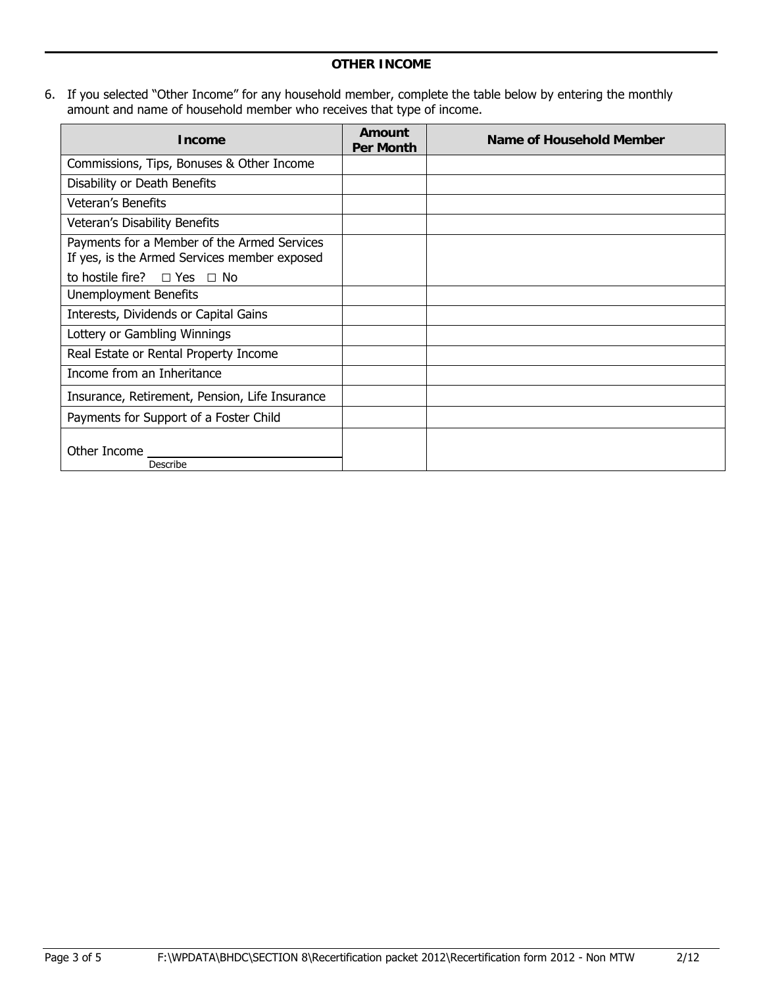6. If you selected "Other Income" for any household member, complete the table below by entering the monthly amount and name of household member who receives that type of income.

| <b>Income</b>                                                                               | Amount<br><b>Per Month</b> | Name of Household Member |
|---------------------------------------------------------------------------------------------|----------------------------|--------------------------|
| Commissions, Tips, Bonuses & Other Income                                                   |                            |                          |
| Disability or Death Benefits                                                                |                            |                          |
| <b>Veteran's Benefits</b>                                                                   |                            |                          |
| Veteran's Disability Benefits                                                               |                            |                          |
| Payments for a Member of the Armed Services<br>If yes, is the Armed Services member exposed |                            |                          |
| to hostile fire? $\Box$ Yes $\Box$ No                                                       |                            |                          |
| Unemployment Benefits                                                                       |                            |                          |
| Interests, Dividends or Capital Gains                                                       |                            |                          |
| Lottery or Gambling Winnings                                                                |                            |                          |
| Real Estate or Rental Property Income                                                       |                            |                          |
| Income from an Inheritance                                                                  |                            |                          |
| Insurance, Retirement, Pension, Life Insurance                                              |                            |                          |
| Payments for Support of a Foster Child                                                      |                            |                          |
| Other Income _<br>Describe                                                                  |                            |                          |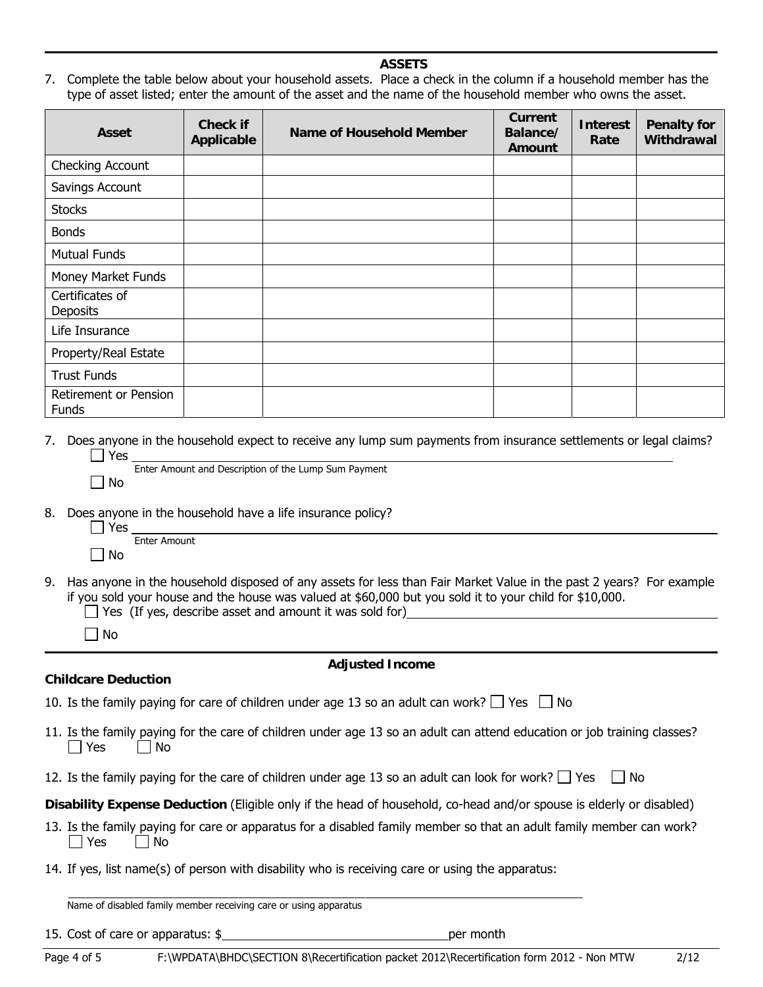#### **ASSETS**

7. Complete the table below about your household assets. Place a check in the column if a household member has the type of asset listed; enter the amount of the asset and the name of the household member who owns the asset.

| <b>Asset</b>                          | <b>Check if</b><br>Applicable | <b>Name of Household Member</b> | <b>Current</b><br>Balance/<br>Amount | <b>Interest</b><br>Rate | <b>Penalty for</b><br>Withdrawal |
|---------------------------------------|-------------------------------|---------------------------------|--------------------------------------|-------------------------|----------------------------------|
| Checking Account                      |                               |                                 |                                      |                         |                                  |
| Savings Account                       |                               |                                 |                                      |                         |                                  |
| <b>Stocks</b>                         |                               |                                 |                                      |                         |                                  |
| <b>Bonds</b>                          |                               |                                 |                                      |                         |                                  |
| <b>Mutual Funds</b>                   |                               |                                 |                                      |                         |                                  |
| Money Market Funds                    |                               |                                 |                                      |                         |                                  |
| Certificates of<br><b>Deposits</b>    |                               |                                 |                                      |                         |                                  |
| Life Insurance                        |                               |                                 |                                      |                         |                                  |
| Property/Real Estate                  |                               |                                 |                                      |                         |                                  |
| <b>Trust Funds</b>                    |                               |                                 |                                      |                         |                                  |
| Retirement or Pension<br><b>Funds</b> |                               |                                 |                                      |                         |                                  |

7. Does anyone in the household expect to receive any lump sum payments from insurance settlements or legal claims? Yes Enter Amount and Description of the Lump Sum Payment

|           | Enter Amount and Description of t |  |
|-----------|-----------------------------------|--|
| $\Box$ No |                                   |  |

8. Does anyone in the household have a life insurance policy?

| l Yes  |              |
|--------|--------------|
|        | Enter Amount |
| - I No |              |

- 9. Has anyone in the household disposed of any assets for less than Fair Market Value in the past 2 years? For example if you sold your house and the house was valued at \$60,000 but you sold it to your child for \$10,000.
	- $\Box$  Yes (If yes, describe asset and amount it was sold for)

 $\Box$  No

**Childcare Deduction**

#### **Adjusted Income**

- 10. Is the family paying for care of children under age 13 so an adult can work?  $\Box$  Yes  $\Box$  No
- 11. Is the family paying for the care of children under age 13 so an adult can attend education or job training classes?  $\Box$  Yes  $\Box$  No
- 12. Is the family paying for the care of children under age 13 so an adult can look for work?  $\Box$  Yes  $\Box$  No
- **Disability Expense Deduction** (Eligible only if the head of household, co-head and/or spouse is elderly or disabled)
- 13. Is the family paying for care or apparatus for a disabled family member so that an adult family member can work?  $\Box$  Yes  $\Box$  No
- 14. If yes, list name(s) of person with disability who is receiving care or using the apparatus:

Name of disabled family member receiving care or using apparatus

15. Cost of care or apparatus: \$ per month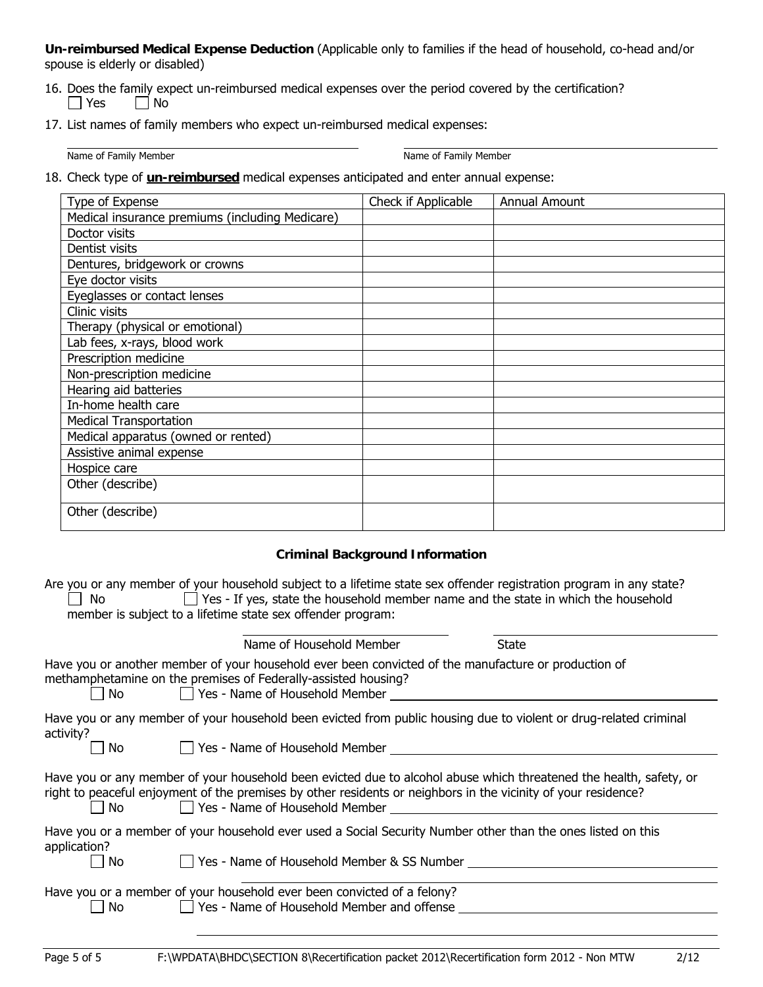**Un-reimbursed Medical Expense Deduction** (Applicable only to families if the head of household, co-head and/or spouse is elderly or disabled)

- 16. Does the family expect un-reimbursed medical expenses over the period covered by the certification?  $\Box$  Yes  $\Box$  No
- 17. List names of family members who expect un-reimbursed medical expenses:

Name of Family Member Name of Family Member Name of Family Member

18. Check type of **un-reimbursed** medical expenses anticipated and enter annual expense:

| Type of Expense                                 | Check if Applicable | <b>Annual Amount</b> |
|-------------------------------------------------|---------------------|----------------------|
| Medical insurance premiums (including Medicare) |                     |                      |
| Doctor visits                                   |                     |                      |
| Dentist visits                                  |                     |                      |
| Dentures, bridgework or crowns                  |                     |                      |
| Eye doctor visits                               |                     |                      |
| Eyeglasses or contact lenses                    |                     |                      |
| Clinic visits                                   |                     |                      |
| Therapy (physical or emotional)                 |                     |                      |
| Lab fees, x-rays, blood work                    |                     |                      |
| Prescription medicine                           |                     |                      |
| Non-prescription medicine                       |                     |                      |
| Hearing aid batteries                           |                     |                      |
| In-home health care                             |                     |                      |
| <b>Medical Transportation</b>                   |                     |                      |
| Medical apparatus (owned or rented)             |                     |                      |
| Assistive animal expense                        |                     |                      |
| Hospice care                                    |                     |                      |
| Other (describe)                                |                     |                      |
| Other (describe)                                |                     |                      |

# **Criminal Background Information**

Are you or any member of your household subject to a lifetime state sex offender registration program in any state?  $\Box$  No  $\Box$  Yes - If yes, state the household member name and the state in which the household member is subject to a lifetime state sex offender program:

|              | Name of Household Member                                                                                                                                                                                                                                               | State |
|--------------|------------------------------------------------------------------------------------------------------------------------------------------------------------------------------------------------------------------------------------------------------------------------|-------|
| <b>No</b>    | Have you or another member of your household ever been convicted of the manufacture or production of<br>methamphetamine on the premises of Federally-assisted housing?<br>□ Yes - Name of Household Member                                                             |       |
| activity?    | Have you or any member of your household been evicted from public housing due to violent or drug-related criminal                                                                                                                                                      |       |
| No.          | Yes - Name of Household Member                                                                                                                                                                                                                                         |       |
| No.          | Have you or any member of your household been evicted due to alcohol abuse which threatened the health, safety, or<br>right to peaceful enjoyment of the premises by other residents or neighbors in the vicinity of your residence?<br>Yes - Name of Household Member |       |
| application? | Have you or a member of your household ever used a Social Security Number other than the ones listed on this                                                                                                                                                           |       |
| No.          | □ Yes - Name of Household Member & SS Number                                                                                                                                                                                                                           |       |
| No.          | Have you or a member of your household ever been convicted of a felony?<br>$\Box$ Yes - Name of Household Member and offense                                                                                                                                           |       |